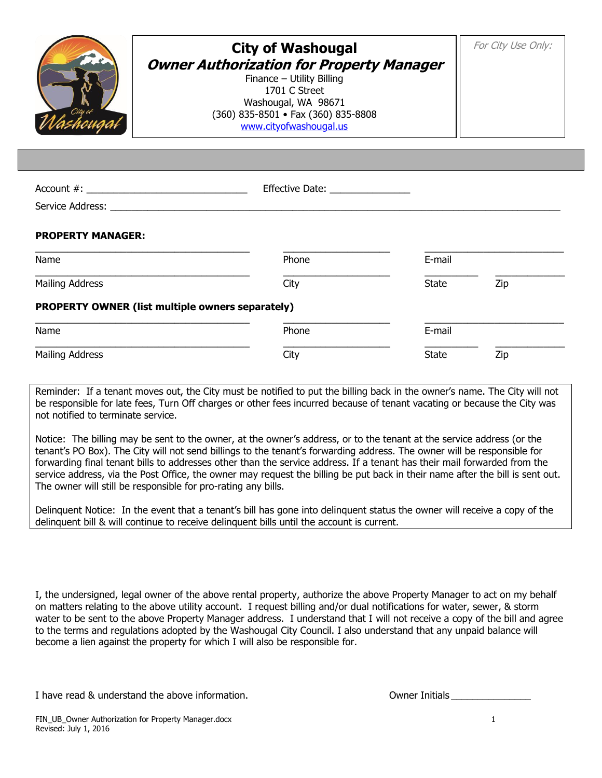

## **City of Washougal Owner Authorization for Property Manager**

Finance – Utility Billing 1701 C Street Washougal, WA 98671 (360) 835-8501 • Fax (360) 835-8808 [www.cityofwashougal.us](http://www.cityofwashougal.us/)

For City Use Only:

| Account #:                            | <b>Effective Date:</b> |
|---------------------------------------|------------------------|
| $C = 1$ , $C = 1$ , $A = 1$ , $A = 1$ |                        |

Service Address:

## **PROPERTY MANAGER:**

| Name                                             | Phone | E-mail       |     |  |
|--------------------------------------------------|-------|--------------|-----|--|
| Mailing Address                                  | City  | <b>State</b> | Zip |  |
| PROPERTY OWNER (list multiple owners separately) |       |              |     |  |
| Name                                             | Phone | E-mail       |     |  |
| Mailing Address                                  | City  | <b>State</b> | Zip |  |

Reminder: If a tenant moves out, the City must be notified to put the billing back in the owner's name. The City will not be responsible for late fees, Turn Off charges or other fees incurred because of tenant vacating or because the City was not notified to terminate service.

Notice: The billing may be sent to the owner, at the owner's address, or to the tenant at the service address (or the tenant's PO Box). The City will not send billings to the tenant's forwarding address. The owner will be responsible for forwarding final tenant bills to addresses other than the service address. If a tenant has their mail forwarded from the service address, via the Post Office, the owner may request the billing be put back in their name after the bill is sent out. The owner will still be responsible for pro-rating any bills.

Delinquent Notice: In the event that a tenant's bill has gone into delinquent status the owner will receive a copy of the delinquent bill & will continue to receive delinquent bills until the account is current.

I, the undersigned, legal owner of the above rental property, authorize the above Property Manager to act on my behalf on matters relating to the above utility account. I request billing and/or dual notifications for water, sewer, & storm water to be sent to the above Property Manager address. I understand that I will not receive a copy of the bill and agree to the terms and regulations adopted by the Washougal City Council. I also understand that any unpaid balance will become a lien against the property for which I will also be responsible for.

I have read & understand the above information. The contraction of the contract of the contraction of the contr